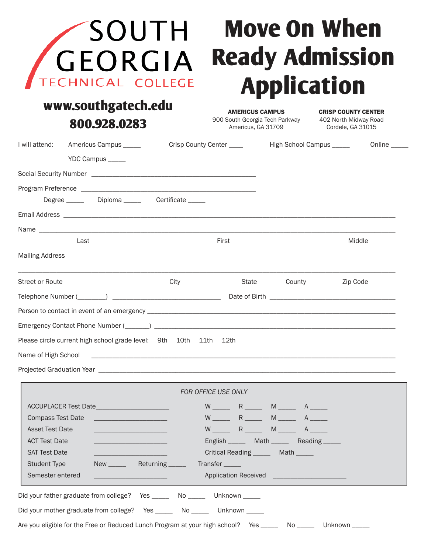| SOUTH<br><b>GEORGIA</b><br>TECHNICAL COLLEGE<br>www.southgatech.edu                                                                                                                                                                                                                                                                                               | <b>Move On When</b><br><b>Ready Admission</b><br><b>Application</b>            |                                                                                              |                                                                          |  |
|-------------------------------------------------------------------------------------------------------------------------------------------------------------------------------------------------------------------------------------------------------------------------------------------------------------------------------------------------------------------|--------------------------------------------------------------------------------|----------------------------------------------------------------------------------------------|--------------------------------------------------------------------------|--|
| 800.928.0283                                                                                                                                                                                                                                                                                                                                                      | <b>AMERICUS CAMPUS</b><br>900 South Georgia Tech Parkway<br>Americus, GA 31709 |                                                                                              | <b>CRISP COUNTY CENTER</b><br>402 North Midway Road<br>Cordele, GA 31015 |  |
| I will attend:<br>Americus Campus _____<br>YDC Campus _____                                                                                                                                                                                                                                                                                                       | Crisp County Center ____                                                       |                                                                                              | High School Campus _____<br>Online _____                                 |  |
| Degree _______ Diploma ______ Certificate _____                                                                                                                                                                                                                                                                                                                   |                                                                                |                                                                                              |                                                                          |  |
| Last<br><b>Mailing Address</b>                                                                                                                                                                                                                                                                                                                                    | First                                                                          |                                                                                              | Middle                                                                   |  |
| <b>Street or Route</b><br>City                                                                                                                                                                                                                                                                                                                                    | State                                                                          | County                                                                                       | Zip Code                                                                 |  |
| Emergency Contact Phone Number (______) __<br>Please circle current high school grade level: 9th 10th 11th 12th<br>Name of High School                                                                                                                                                                                                                            |                                                                                |                                                                                              |                                                                          |  |
|                                                                                                                                                                                                                                                                                                                                                                   |                                                                                |                                                                                              |                                                                          |  |
| ACCUPLACER Test Date________________________<br><b>Compass Test Date</b><br><b>Asset Test Date</b><br><b>ACT Test Date</b><br><u> 1989 - Johann Barn, mars et al. (</u><br><b>SAT Test Date</b><br><u> 1980 - Johann Barbara, martxa alemaniar a</u><br><b>Student Type</b><br>New Returning _____<br>Semester entered<br><u> 1989 - Johann Barn, mars et al.</u> | FOR OFFICE USE ONLY<br>Critical Reading ________ Math _____<br>Transfer _____  | English ________ Math _______ Reading ______<br>Application Received _______________________ |                                                                          |  |
| Did your father graduate from college? Yes ______ No _____ Unknown _____                                                                                                                                                                                                                                                                                          |                                                                                |                                                                                              |                                                                          |  |
| Did your mother graduate from college? Yes _______ No ______ Unknown _____<br>Are you eligible for the Free or Reduced Lunch Program at your high school? Yes _______ No ______ Unknown ____                                                                                                                                                                      |                                                                                |                                                                                              |                                                                          |  |